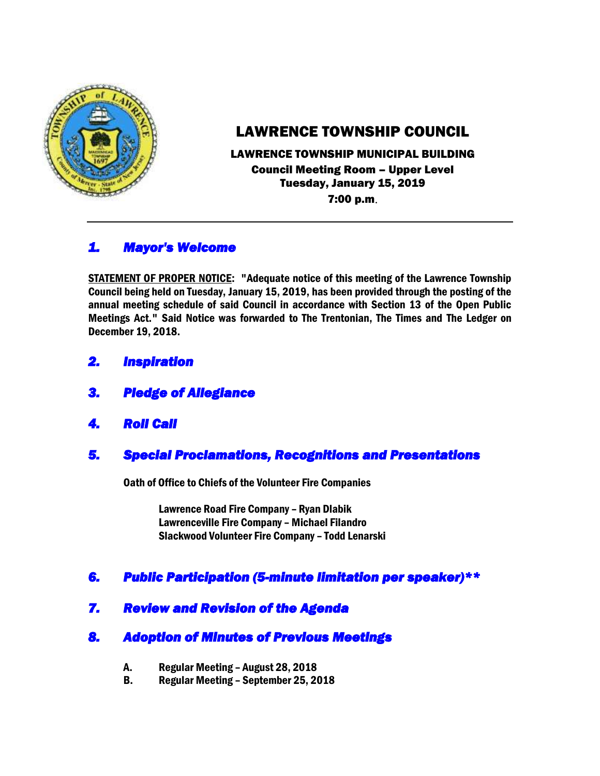

# LAWRENCE TOWNSHIP COUNCIL

# LAWRENCE TOWNSHIP MUNICIPAL BUILDING Council Meeting Room – Upper Level Tuesday, January 15, 2019

7:00 p.m.

# *1. Mayor's Welcome*

STATEMENT OF PROPER NOTICE: "Adequate notice of this meeting of the Lawrence Township Council being held on Tuesday, January 15, 2019, has been provided through the posting of the annual meeting schedule of said Council in accordance with Section 13 of the Open Public Meetings Act." Said Notice was forwarded to The Trentonian, The Times and The Ledger on December 19, 2018.

- *2. Inspiration*
- *3. Pledge of Allegiance*
- *4. Roll Call*

# *5. Special Proclamations, Recognitions and Presentations*

Oath of Office to Chiefs of the Volunteer Fire Companies

Lawrence Road Fire Company – Ryan Dlabik Lawrenceville Fire Company – Michael Filandro Slackwood Volunteer Fire Company – Todd Lenarski

# *6. Public Participation (5-minute limitation per speaker)\*\**

*7. Review and Revision of the Agenda* 

# *8. Adoption of Minutes of Previous Meetings*

- A. Regular Meeting August 28, 2018
- B. Regular Meeting September 25, 2018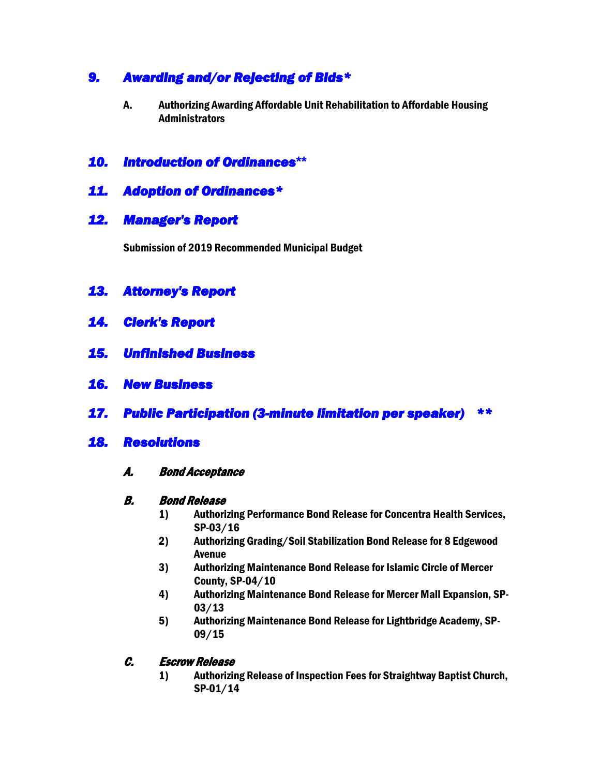# *9. Awarding and/or Rejecting of Bids\**

A. Authorizing Awarding Affordable Unit Rehabilitation to Affordable Housing Administrators

# *10. Introduction of Ordinances***\*\***

## *11. Adoption of Ordinances\**

## *12. Manager's Report*

Submission of 2019 Recommended Municipal Budget

## *13. Attorney's Report*

- *14. Clerk's Report*
- *15. Unfinished Business*
- *16. New Business*
- *17. Public Participation (3-minute limitation per speaker) \*\**

#### *18. Resolutions*

#### A. Bond Acceptance

#### B. Bond Release

- 1) Authorizing Performance Bond Release for Concentra Health Services, SP-03/16
- 2) Authorizing Grading/Soil Stabilization Bond Release for 8 Edgewood Avenue
- 3) Authorizing Maintenance Bond Release for Islamic Circle of Mercer County, SP-04/10
- 4) Authorizing Maintenance Bond Release for Mercer Mall Expansion, SP-03/13
- 5) Authorizing Maintenance Bond Release for Lightbridge Academy, SP-09/15

#### C. Escrow Release

1) Authorizing Release of Inspection Fees for Straightway Baptist Church, SP-01/14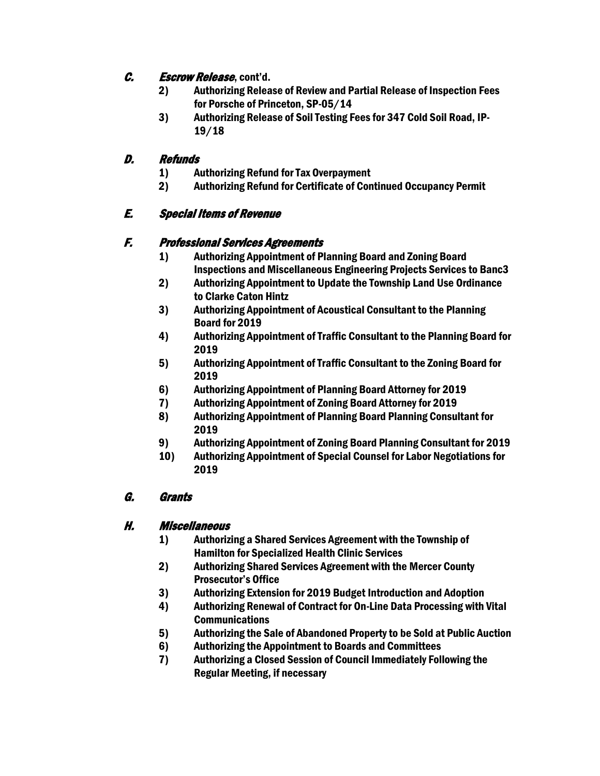## C. Escrow Release, cont'd.

- 2) Authorizing Release of Review and Partial Release of Inspection Fees for Porsche of Princeton, SP-05/14
- 3) Authorizing Release of Soil Testing Fees for 347 Cold Soil Road, IP-19/18

### D. Refunds

- 1) Authorizing Refund for Tax Overpayment
- 2) Authorizing Refund for Certificate of Continued Occupancy Permit

# E. Special Items of Revenue

### F. Professional Services Agreements

- 1) Authorizing Appointment of Planning Board and Zoning Board Inspections and Miscellaneous Engineering Projects Services to Banc3
- 2) Authorizing Appointment to Update the Township Land Use Ordinance to Clarke Caton Hintz
- 3) Authorizing Appointment of Acoustical Consultant to the Planning Board for 2019
- 4) Authorizing Appointment of Traffic Consultant to the Planning Board for 2019
- 5) Authorizing Appointment of Traffic Consultant to the Zoning Board for 2019
- 6) Authorizing Appointment of Planning Board Attorney for 2019
- 7) Authorizing Appointment of Zoning Board Attorney for 2019
- 8) Authorizing Appointment of Planning Board Planning Consultant for 2019
- 9) Authorizing Appointment of Zoning Board Planning Consultant for 2019
- 10) Authorizing Appointment of Special Counsel for Labor Negotiations for 2019

### G. Grants

### H. Miscellaneous

- 1) Authorizing a Shared Services Agreement with the Township of Hamilton for Specialized Health Clinic Services
- 2) Authorizing Shared Services Agreement with the Mercer County Prosecutor's Office
- 3) Authorizing Extension for 2019 Budget Introduction and Adoption
- 4) Authorizing Renewal of Contract for On-Line Data Processing with Vital **Communications**
- 5) Authorizing the Sale of Abandoned Property to be Sold at Public Auction
- 6) Authorizing the Appointment to Boards and Committees
- 7) Authorizing a Closed Session of Council Immediately Following the Regular Meeting, if necessary